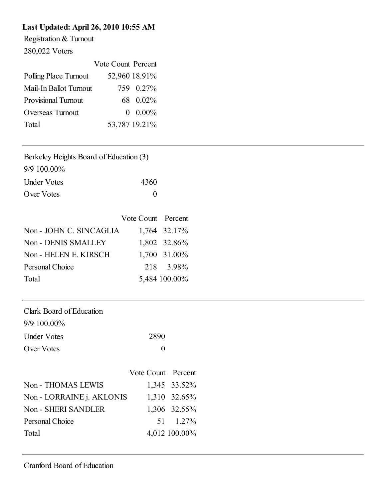### Last Updated: April 26, 2010 10:55 AM

Registration & Turnout

280,022 Voters

|                            | Vote Count Percent |               |
|----------------------------|--------------------|---------------|
| Polling Place Turnout      |                    | 52,960 18.91% |
| Mail-In Ballot Turnout     |                    | 759 0.27%     |
| <b>Provisional Turnout</b> |                    | 68 0.02%      |
| Overseas Turnout           |                    | $0.00\%$      |
| Total                      |                    | 53,787 19.21% |

| Berkeley Heights Board of Education (3) |  |
|-----------------------------------------|--|
| 9/9 100.00%                             |  |
| 10 <sup>2</sup><br>TT 1 TT 4            |  |

| <b>Under Votes</b> | 4360 |
|--------------------|------|
| Over Votes         |      |

| Vote Count Percent |                         |
|--------------------|-------------------------|
|                    | 1,764 32.17%            |
|                    | 1,802 32.86%            |
|                    | 1,700 31.00%            |
|                    | 218 3.98%               |
|                    | 5,484 100.00%           |
|                    | Non - JOHN C. SINCAGLIA |

| Clark Board of Education |      |
|--------------------------|------|
| $9/9$ 100.00%            |      |
| <b>Under Votes</b>       | 2890 |
| Over Votes               |      |

|                           | Vote Count Percent |               |
|---------------------------|--------------------|---------------|
| Non - THOMAS LEWIS        |                    | 1,345 33.52%  |
| Non - LORRAINE j. AKLONIS |                    | 1,310 32.65%  |
| <b>Non-SHERI SANDLER</b>  |                    | 1,306 32.55%  |
| Personal Choice           |                    | 51 1.27%      |
| Total                     |                    | 4,012 100.00% |
|                           |                    |               |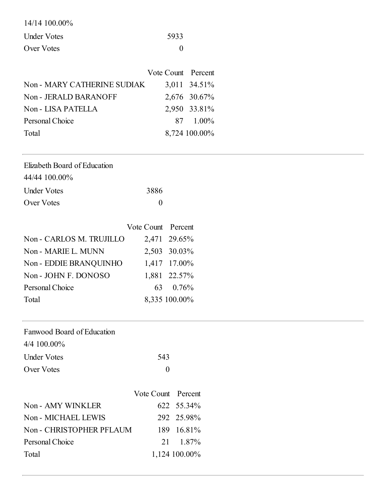| $14/14$ 100.00%    |      |
|--------------------|------|
| <b>Under Votes</b> | 5933 |
| Over Votes         |      |

|                             | Vote Count Percent |               |
|-----------------------------|--------------------|---------------|
| Non - MARY CATHERINE SUDIAK |                    | 3,011 34.51%  |
| Non - JERALD BARANOFF       |                    | 2,676 30.67%  |
| Non - LISA PATELLA          |                    | 2,950 33.81%  |
| Personal Choice             |                    | 87 1.00%      |
| Total                       |                    | 8,724 100.00% |

| Elizabeth Board of Education |      |
|------------------------------|------|
| 44/44 100.00%                |      |
| <b>Under Votes</b>           | 3886 |
| Over Votes                   |      |

|                          | Vote Count Percent |               |
|--------------------------|--------------------|---------------|
| Non - CARLOS M. TRUJILLO |                    | 2,471 29.65%  |
| Non - MARIE L. MUNN      |                    | 2,503 30.03%  |
| Non - EDDIE BRANQUINHO   |                    | 1,417 17.00%  |
| Non - JOHN F. DONOSO     |                    | 1,881 22.57%  |
| Personal Choice          |                    | 63 0.76%      |
| Total                    |                    | 8,335 100.00% |

Personal Choice 21 1.87%

Total 1,124 100.00%

| Fanwood Board of Education |                    |            |
|----------------------------|--------------------|------------|
| $4/4$ 100.00%              |                    |            |
| <b>Under Votes</b>         | 543                |            |
| Over Votes                 | $\boldsymbol{0}$   |            |
|                            |                    |            |
|                            | Vote Count Percent |            |
| Non - AMY WINKLER          |                    | 622 55.34% |
| Non - MICHAEL LEWIS        |                    | 292 25.98% |
| Non - CHRISTOPHER PFLAUM   |                    | 189 16.81% |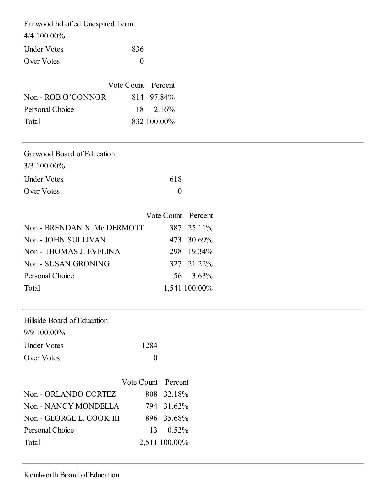| Fanwood bd of ed Unexpired Term |                   |
|---------------------------------|-------------------|
| $4/4$ 100.00%                   |                   |
| <b>Under Votes</b>              | 836               |
| Over Votes                      | $\mathbf{\Omega}$ |

|                    | Vote Count Percent |                   |
|--------------------|--------------------|-------------------|
| Non - ROB O'CONNOR |                    | 814 97.84%        |
| Personal Choice    |                    | $18 \quad 2.16\%$ |
| Total              |                    | 832 100.00%       |

| Garwood Board of Education  |                    |               |
|-----------------------------|--------------------|---------------|
| 3/3 100.00%                 |                    |               |
| <b>Under Votes</b>          | 618                |               |
| Over Votes                  | $\theta$           |               |
|                             |                    |               |
|                             | Vote Count Percent |               |
| Non - BRENDAN X. Mc DERMOTT |                    | 387 25.11%    |
| Non - JOHN SULLIVAN         |                    | 473 30.69%    |
| Non - THOMAS J. EVELINA     |                    | 298 19.34%    |
| Non - SUSAN GRONING         |                    | 327 21.22%    |
| Personal Choice             | 56                 | $3.63\%$      |
| Total                       |                    | 1,541 100.00% |

| Hillside Board of Education |                    |               |
|-----------------------------|--------------------|---------------|
| $9/9$ 100.00%               |                    |               |
| <b>Under Votes</b>          | 1284               |               |
| Over Votes                  | $\boldsymbol{0}$   |               |
|                             |                    |               |
|                             | Vote Count Percent |               |
| Non - ORLANDO CORTEZ        |                    | 808 32.18%    |
| Non - NANCY MONDELLA        |                    | 794 31.62%    |
| Non - GEORGE L. COOK III    |                    | 896 35.68%    |
| Personal Choice             | 13                 | $0.52\%$      |
| Total                       |                    | 2,511 100.00% |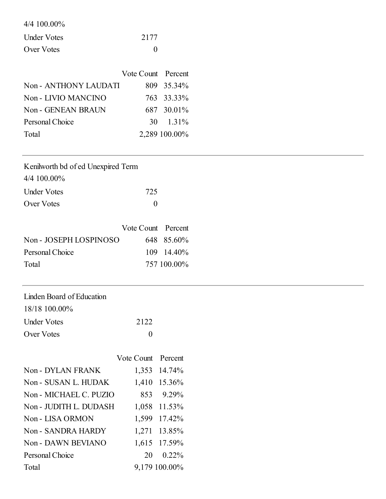|  |  | $4/4$ 100.00% |
|--|--|---------------|
|--|--|---------------|

| <b>Under Votes</b> | 2177 |
|--------------------|------|
| Over Votes         |      |

|                       | Vote Count Percent |                   |
|-----------------------|--------------------|-------------------|
| Non - ANTHONY LAUDATI |                    | 809 35.34%        |
| Non - LIVIO MANCINO   |                    | 763 33.33%        |
| Non - GENEAN BRAUN    |                    | 687 30.01%        |
| Personal Choice       |                    | $30 \quad 1.31\%$ |
| Total                 |                    | 2,289 100.00%     |

| Kenilworth bd of ed Unexpired Term |              |
|------------------------------------|--------------|
| $4/4$ 100.00%                      |              |
| <b>Under Votes</b>                 | 725          |
| Over Votes                         | $\mathbf{0}$ |

|                        | Vote Count Percent |                     |
|------------------------|--------------------|---------------------|
| Non - JOSEPH LOSPINOSO |                    | 648 85.60%          |
| Personal Choice        |                    | $109 \quad 14.40\%$ |
| Total                  |                    | 757 100,00%         |

| Linden Board of Education |      |
|---------------------------|------|
| 18/18 100.00%             |      |
| <b>Under Votes</b>        | 2122 |
| Over Votes                |      |

|                        | Vote Count Percent |                   |
|------------------------|--------------------|-------------------|
| Non - DYLAN FRANK      |                    | 1,353 14.74%      |
| Non - SUSAN L. HUDAK   |                    | 1,410 15.36%      |
| Non - MICHAEL C. PUZIO |                    | 853 9.29%         |
| Non - JUDITH L. DUDASH |                    | 1,058 11.53%      |
| Non - LISA ORMON       |                    | 1,599 17.42%      |
| Non - SANDRA HARDY     |                    | 1,271 13.85%      |
| Non - DAWN BEVIANO     |                    | 1,615 17.59%      |
| Personal Choice        |                    | $20 \quad 0.22\%$ |
| Total                  |                    | 9,179 100.00%     |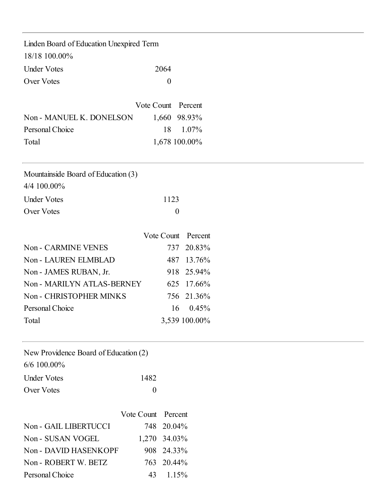| Linden Board of Education Unexpired Term |      |
|------------------------------------------|------|
| 18/18 100.00%                            |      |
| <b>Under Votes</b>                       | 2064 |
| Over Votes                               |      |

|                          | Vote Count Percent |               |
|--------------------------|--------------------|---------------|
| Non - MANUEL K. DONELSON |                    | 1,660 98.93%  |
| Personal Choice          |                    | 18 1.07%      |
| Total                    |                    | 1,678 100.00% |

Mountainside Board of Education (3)

| $4/4$ 100.00%      |      |
|--------------------|------|
| <b>Under Votes</b> | 1123 |
| Over Votes         |      |

|                            | Vote Count Percent |                   |
|----------------------------|--------------------|-------------------|
| <b>Non - CARMINE VENES</b> |                    | 737 20.83%        |
| Non - LAUREN ELMBLAD       |                    | 487 13.76%        |
| Non - JAMES RUBAN, Jr.     |                    | 918 25.94%        |
| Non - MARILYN ATLAS-BERNEY |                    | 625 17.66%        |
| Non - CHRISTOPHER MINKS    |                    | 756 21.36%        |
| Personal Choice            |                    | $16 \quad 0.45\%$ |
| Total                      |                    | 3,539 100.00%     |

| New Providence Board of Education (2) |          |
|---------------------------------------|----------|
| $6/6$ 100.00%                         |          |
| <b>Under Votes</b>                    | 1482     |
| Over Votes                            | $\Omega$ |

|                       | Vote Count Percent |                   |
|-----------------------|--------------------|-------------------|
| Non - GAIL LIBERTUCCI |                    | 748 20.04%        |
| Non - SUSAN VOGEL     |                    | 1,270 34.03%      |
| Non - DAVID HASENKOPF |                    | 908 24.33%        |
| Non - ROBERT W. BETZ  |                    | 763 20.44%        |
| Personal Choice       |                    | $43 \quad 1.15\%$ |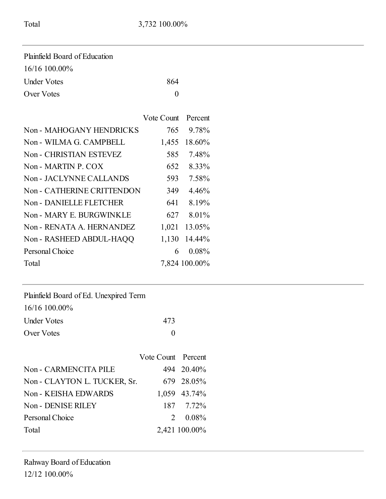| Plainfield Board of Education |     |
|-------------------------------|-----|
| $16/16$ 100.00%               |     |
| <b>Under Votes</b>            | 864 |
| Over Votes                    |     |

|                            | Vote Count Percent |               |
|----------------------------|--------------------|---------------|
| Non - MAHOGANY HENDRICKS   | 765                | 9.78%         |
| Non - WILMA G. CAMPBELL    | 1,455              | 18.60%        |
| Non - CHRISTIAN ESTEVEZ    | 585                | 7.48%         |
| Non - MARTIN P. COX        | 652                | 8.33%         |
| Non - JACLYNNE CALLANDS    | 593                | 7.58%         |
| Non - CATHERINE CRITTENDON | 349                | 4.46%         |
| Non - DANIELLE FLETCHER    | 641                | 8.19%         |
| Non - MARY E. BURGWINKLE   | 627                | 8.01%         |
| Non - RENATA A. HERNANDEZ  | 1,021              | 13.05%        |
| Non - RASHEED ABDUL-HAQQ   | 1,130              | 14.44%        |
| Personal Choice            | 6                  | $0.08\%$      |
| Total                      |                    | 7,824 100.00% |

| Plainfield Board of Ed. Unexpired Term |              |
|----------------------------------------|--------------|
| $16/16$ 100.00%                        |              |
| <b>Under Votes</b>                     | 473          |
| Over Votes                             | $\mathbf{0}$ |

|                              | Vote Count Percent |                  |
|------------------------------|--------------------|------------------|
| Non - CARMENCITA PILE        |                    | 494 20.40%       |
| Non - CLAYTON L. TUCKER, Sr. |                    | 679 28.05%       |
| Non - KEISHA EDWARDS         |                    | 1,059 43.74%     |
| Non - DENISE RILEY           |                    | 187 7.72%        |
| Personal Choice              |                    | $2 \quad 0.08\%$ |
| Total                        |                    | 2,421 100.00%    |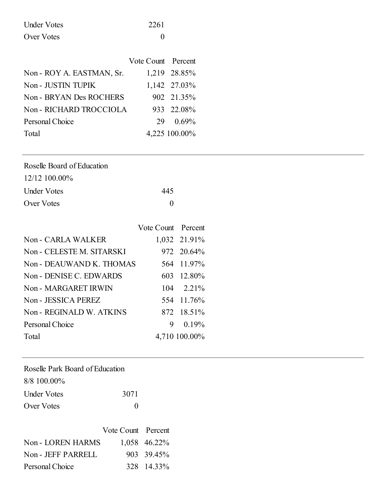| <b>Under Votes</b> | 2261 |
|--------------------|------|
| Over Votes         |      |

|                           | Vote Count Percent |               |
|---------------------------|--------------------|---------------|
| Non - ROY A. EASTMAN, Sr. |                    | 1,219 28.85%  |
| Non - JUSTIN TUPIK        |                    | 1,142 27.03%  |
| Non - BRYAN Des ROCHERS   |                    | 902 21.35%    |
| Non - RICHARD TROCCIOLA   |                    | 933 22.08%    |
| Personal Choice           |                    | 29 0.69%      |
| Total                     |                    | 4,225 100.00% |

| Roselle Board of Education |     |
|----------------------------|-----|
| $12/12$ 100.00%            |     |
| Under Votes                | 445 |
| Over Votes                 |     |

|                           | Vote Count Percent |                    |
|---------------------------|--------------------|--------------------|
| <b>Non-CARLA WALKER</b>   |                    | 1,032 21.91%       |
| Non - CELESTE M. SITARSKI |                    | 972 20.64%         |
| Non - DEAUWAND K. THOMAS  |                    | 564 11.97%         |
| Non - DENISE C. EDWARDS   |                    | 603 12.80%         |
| Non - MARGARET IRWIN      |                    | $104 \quad 2.21\%$ |
| Non - JESSICA PEREZ       |                    | 554 11.76%         |
| Non - REGINALD W. ATKINS  |                    | 872 18.51%         |
| Personal Choice           | 9.                 | 0.19%              |
| Total                     |                    | 4,710 100.00%      |

Roselle Park Board of Education

| 8/8 100.00%        |          |
|--------------------|----------|
| <b>Under Votes</b> | 3071     |
| Over Votes         | $\theta$ |

|                          | Vote Count Percent |              |
|--------------------------|--------------------|--------------|
| <b>Non - LOREN HARMS</b> |                    | 1.058 46.22% |
| Non - JEFF PARRELL       |                    | 903 39.45%   |
| Personal Choice          |                    | 328 14.33%   |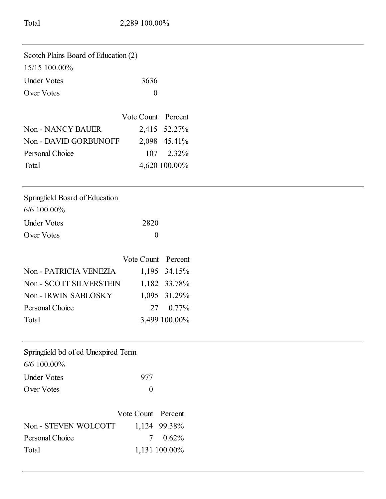| Scotch Plains Board of Education (2) |                  |               |
|--------------------------------------|------------------|---------------|
| 15/15 100.00%                        |                  |               |
| <b>Under Votes</b>                   | 3636             |               |
| <b>Over Votes</b>                    | $\boldsymbol{0}$ |               |
|                                      | Vote Count       | Percent       |
| <b>Non-NANCY BAUER</b>               | 2,415            | 52.27%        |
| Non - DAVID GORBUNOFF                |                  | 2,098 45.41%  |
| Personal Choice                      | 107              | 2.32%         |
| Total                                |                  | 4,620 100.00% |
| Springfield Board of Education       |                  |               |
| 6/6 100.00%                          |                  |               |
| <b>Under Votes</b>                   | 2820             |               |
| <b>Over Votes</b>                    | $\boldsymbol{0}$ |               |
|                                      | Vote Count       | Percent       |
| Non - PATRICIA VENEZIA               |                  | 1,195 34.15%  |
| Non - SCOTT SILVERSTEIN              |                  | 1,182 33.78%  |
| Non - IRWIN SABLOSKY                 |                  | 1,095 31.29%  |
| Personal Choice                      | 27               | 0.77%         |
| Total                                |                  | 3,499 100.00% |
| Springfield bd of ed Unexpired Term  |                  |               |
| 6/6 100.00%                          |                  |               |
| <b>Under Votes</b>                   | 977              |               |
| <b>Over Votes</b>                    | $\boldsymbol{0}$ |               |
|                                      | Vote Count       | Percent       |
| Non - STEVEN WOLCOTT                 | 1,124            | 99.38%        |
| Personal Choice                      | 7                | 0.62%         |

Total 1,131 100.00%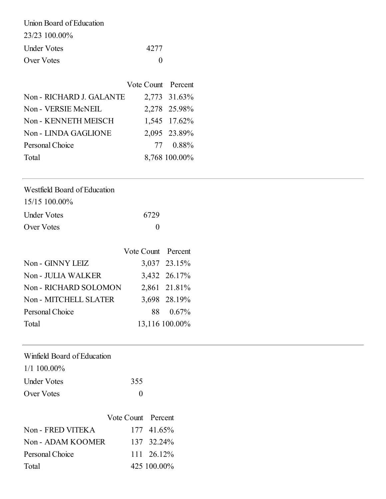| Union Board of Education |       |
|--------------------------|-------|
| 23/23 100.00%            |       |
| Under Votes              | 42.77 |
| Over Votes               |       |

|                          | Vote Count Percent |               |
|--------------------------|--------------------|---------------|
| Non - RICHARD J. GALANTE |                    | 2,773 31.63%  |
| Non - VERSIE McNEIL      |                    | 2,278 25.98%  |
| Non - KENNETH MEISCH     |                    | 1,545 17.62%  |
| Non - LINDA GAGLIONE     |                    | 2,095 23.89%  |
| Personal Choice          |                    | 77 0.88%      |
| Total                    |                    | 8,768 100.00% |

| Westfield Board of Education |      |
|------------------------------|------|
| $15/15$ 100.00%              |      |
| <b>Under Votes</b>           | 6729 |

Over Votes 0

|                         | Vote Count Percent |                |
|-------------------------|--------------------|----------------|
| Non - GINNY LEIZ        |                    | 3,037 23.15%   |
| <b>Non-JULIA WALKER</b> |                    | 3,432 26.17%   |
| Non - RICHARD SOLOMON   |                    | 2,861 21.81%   |
| Non - MITCHELL SLATER   |                    | 3,698 28.19%   |
| Personal Choice         |                    | 88 0.67%       |
| Total                   |                    | 13,116 100.00% |
|                         |                    |                |

| Winfield Board of Education |     |
|-----------------------------|-----|
| $1/1$ 100.00%               |     |
| <b>Under Votes</b>          | 355 |
| Over Votes                  |     |

|                   | Vote Count Percent |             |
|-------------------|--------------------|-------------|
| Non - FRED VITEKA |                    | 177 41.65%  |
| Non - ADAM KOOMER |                    | 137 32.24%  |
| Personal Choice   |                    | 111 26.12%  |
| Total             |                    | 425 100.00% |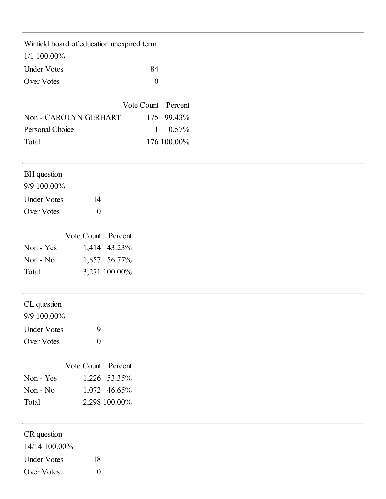| Winfield board of education unexpired term |                    |                    |                  |             |  |  |  |
|--------------------------------------------|--------------------|--------------------|------------------|-------------|--|--|--|
| $1/1$ 100.00%                              |                    |                    |                  |             |  |  |  |
| <b>Under Votes</b>                         |                    |                    | 84               |             |  |  |  |
| Over Votes                                 |                    |                    | $\boldsymbol{0}$ |             |  |  |  |
|                                            |                    |                    | Vote Count       | Percent     |  |  |  |
| Non - CAROLYN GERHART                      |                    |                    | 175              | 99.43%      |  |  |  |
| Personal Choice                            |                    |                    | $\mathbf{1}$     | 0.57%       |  |  |  |
| Total                                      |                    |                    |                  | 176 100.00% |  |  |  |
| BH question                                |                    |                    |                  |             |  |  |  |
| 9/9 100.00%                                |                    |                    |                  |             |  |  |  |
| <b>Under Votes</b>                         | 14                 |                    |                  |             |  |  |  |
| Over Votes                                 | $\boldsymbol{0}$   |                    |                  |             |  |  |  |
|                                            | Vote Count Percent |                    |                  |             |  |  |  |
| Non - Yes                                  |                    | 1,414 43.23%       |                  |             |  |  |  |
| Non - No                                   |                    | 1,857 56.77%       |                  |             |  |  |  |
| Total                                      |                    | 3,271 100.00%      |                  |             |  |  |  |
| CL question<br>9/9 100.00%                 |                    |                    |                  |             |  |  |  |
| <b>Under Votes</b>                         | 9                  |                    |                  |             |  |  |  |
| Over Votes                                 | $\boldsymbol{0}$   |                    |                  |             |  |  |  |
|                                            |                    | Vote Count Percent |                  |             |  |  |  |
| Non - Yes                                  |                    | 1,226 53.35%       |                  |             |  |  |  |
| Non - No                                   |                    | 1,072 46.65%       |                  |             |  |  |  |
| Total                                      |                    | 2,298 100.00%      |                  |             |  |  |  |
| CR question                                |                    |                    |                  |             |  |  |  |
| 14/14 100.00%                              |                    |                    |                  |             |  |  |  |
| <b>Under Votes</b>                         | 18                 |                    |                  |             |  |  |  |
| Over Votes                                 | $\boldsymbol{0}$   |                    |                  |             |  |  |  |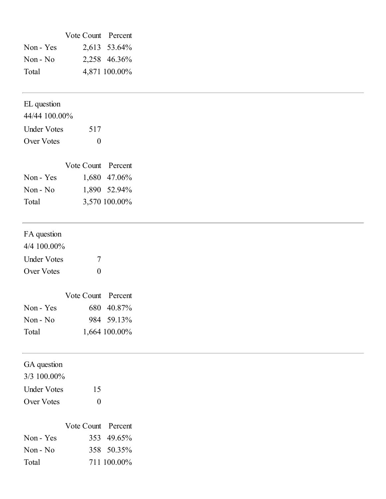|                            | Vote Count Percent |               |
|----------------------------|--------------------|---------------|
| Non - Yes                  |                    | 2,613 53.64%  |
| Non - No                   |                    | 2,258 46.36%  |
| Total                      |                    | 4,871 100.00% |
| EL question                |                    |               |
| 44/44 100.00%              |                    |               |
| <b>Under Votes</b>         | 517                |               |
| Over Votes                 | $\boldsymbol{0}$   |               |
|                            | Vote Count Percent |               |
| Non - Yes                  |                    | 1,680 47.06%  |
| Non - No                   |                    | 1,890 52.94%  |
| Total                      |                    | 3,570 100.00% |
| FA question                |                    |               |
| 4/4 100.00%                |                    |               |
| <b>Under Votes</b>         | $\overline{7}$     |               |
| Over Votes                 | $\boldsymbol{0}$   |               |
|                            | Vote Count Percent |               |
| Non - Yes                  |                    | 680 40.87%    |
| Non - No                   |                    | 984 59.13%    |
| Total                      |                    | 1,664 100.00% |
| GA question<br>3/3 100.00% |                    |               |
|                            |                    |               |
| <b>Under Votes</b>         | 15                 |               |
| Over Votes                 | $\boldsymbol{0}$   |               |
|                            | Vote Count Percent |               |
| Non - Yes                  | 353                | 49.65%        |
| Non - No                   |                    | 358 50.35%    |
| Total                      |                    | 711 100.00%   |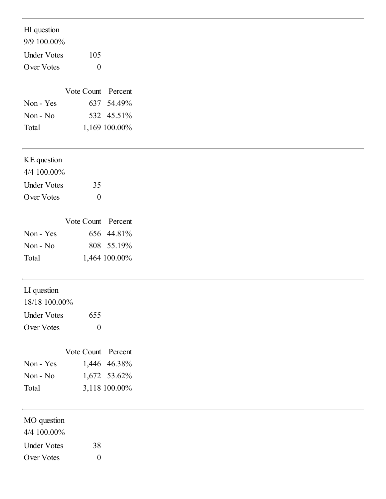HI question

9/9 100.00%

| <b>Under Votes</b> | 105      |
|--------------------|----------|
| Over Votes         | $\theta$ |

|           | Vote Count Percent |               |
|-----------|--------------------|---------------|
| Non - Yes |                    | 637 54.49%    |
| Non - No  |                    | 532 45.51%    |
| Total     |                    | 1,169 100.00% |

| $4/4$ 100.00%      |              |
|--------------------|--------------|
| <b>Under Votes</b> | 35           |
| Over Votes         | $\mathbf{0}$ |

|           | Vote Count Percent |               |
|-----------|--------------------|---------------|
| Non - Yes |                    | 656 44.81%    |
| $Non-No$  |                    | 808 55.19%    |
| Total     |                    | 1,464 100.00% |

# LI question

| 18/18 100.00%      |          |
|--------------------|----------|
| <b>Under Votes</b> | 655      |
| Over Votes         | $\theta$ |

|           | Vote Count Percent |               |
|-----------|--------------------|---------------|
| Non - Yes |                    | 1,446 46.38%  |
| $Non-No$  |                    | 1,672 53.62%  |
| Total     |                    | 3,118 100.00% |

4/4 100.00%

Under Votes 38 Over Votes 0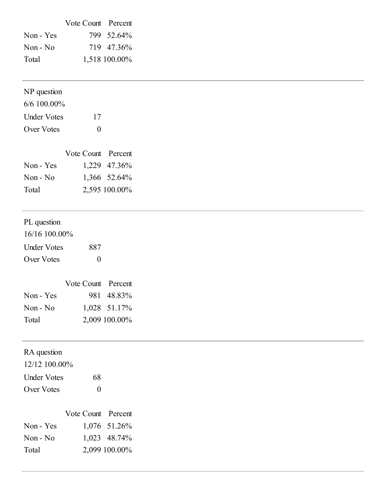|           | Vote Count Percent |               |
|-----------|--------------------|---------------|
| Non - Yes |                    | 799 52.64%    |
| $Non-No$  |                    | 719 47.36%    |
| Total     |                    | 1,518 100.00% |

| $6/6$ 100.00%      |          |
|--------------------|----------|
| <b>Under Votes</b> | 17       |
| Over Votes         | $\Omega$ |

|           | Vote Count Percent |               |
|-----------|--------------------|---------------|
| Non - Yes |                    | 1,229 47.36%  |
| Non - No  |                    | 1,366 52.64%  |
| Total     |                    | 2,595 100.00% |

# PL question

| $16/16$ 100.00%    |                   |
|--------------------|-------------------|
| <b>Under Votes</b> | 887               |
| Over Votes         | $\mathbf{\Omega}$ |

|           | Vote Count Percent |               |
|-----------|--------------------|---------------|
| Non - Yes |                    | 981 48.83%    |
| $Non-No$  |                    | 1,028 51.17%  |
| Total     |                    | 2,009 100.00% |

| RA question |  |
|-------------|--|
|-------------|--|

12/12 100.00%

| <b>Under Votes</b> | 68           |
|--------------------|--------------|
| Over Votes         | $\mathbf{0}$ |

|           | Vote Count Percent |               |
|-----------|--------------------|---------------|
| Non - Yes |                    | 1,076 51.26%  |
| Non - No  |                    | 1,023 48.74%  |
| Total     |                    | 2,099 100.00% |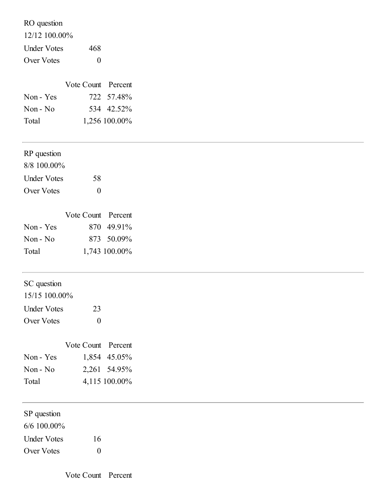RO question

12/12 100.00%

Under Votes 468 Over Votes 0

|           | Vote Count Percent |               |
|-----------|--------------------|---------------|
| Non - Yes |                    | 722 57.48%    |
| $Non-No$  |                    | 534 42.52%    |
| Total     |                    | 1,256 100.00% |

#### RP question

| $8/8$ 100.00% |          |
|---------------|----------|
| Under Votes   | 58       |
| Over Votes    | $\theta$ |

|           | Vote Count Percent |               |
|-----------|--------------------|---------------|
| Non - Yes |                    | 870 49.91%    |
| $Non-No$  |                    | 873 50.09%    |
| Total     |                    | 1,743 100.00% |

### SC question

| 15/15 100.00%      |          |
|--------------------|----------|
| <b>Under Votes</b> | 23       |
| Over Votes         | $\theta$ |

|           | Vote Count Percent |               |
|-----------|--------------------|---------------|
| Non - Yes |                    | 1,854 45.05%  |
| $Non-No$  |                    | 2,261 54.95%  |
| Total     |                    | 4,115 100.00% |

| SP question |  |
|-------------|--|
|-------------|--|

6/6 100.00%

Under Votes 16 Over Votes 0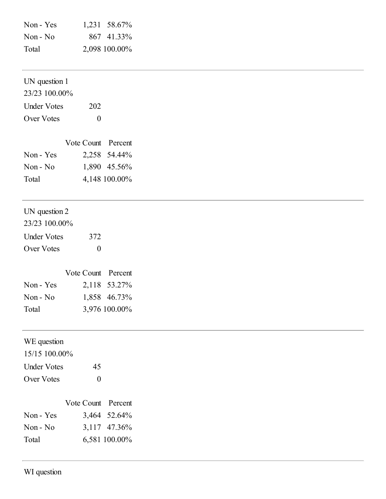| Non - Yes | 1,231 58.67%  |
|-----------|---------------|
| Non - No  | 867 41.33%    |
| Total     | 2,098 100.00% |

## UN question 1

23/23 100.00% Under Votes 202

Over Votes 0

|           | Vote Count Percent |               |
|-----------|--------------------|---------------|
| Non - Yes |                    | 2,258 54.44%  |
| Non - No  |                    | 1,890 45.56%  |
| Total     |                    | 4,148 100.00% |

# UN question 2

| 23/23 100.00%      |          |
|--------------------|----------|
| <b>Under Votes</b> | 372      |
| Over Votes         | $\Omega$ |

|           | Vote Count Percent |               |
|-----------|--------------------|---------------|
| Non - Yes |                    | 2,118 53.27%  |
| $Non-No$  |                    | 1,858 46.73%  |
| Total     |                    | 3,976 100.00% |

## WE question

| 15/15 100.00%      |                   |
|--------------------|-------------------|
| <b>Under Votes</b> | 45                |
| Over Votes         | $\mathbf{\Omega}$ |

|           | Vote Count Percent |               |
|-----------|--------------------|---------------|
| Non - Yes |                    | 3,464 52.64%  |
| Non - No  |                    | 3,117 47.36%  |
| Total     |                    | 6,581 100.00% |